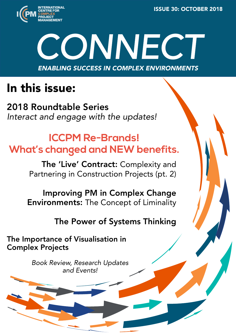ISSUE 30: OCTOBER 2018



# *CONNECT* ENABLING SUCCESS IN COMPLEX ENVIRONMENTS

# In this issue:

[2018 Roundtable Series](#page--1-0)  *[Interact and engage with the updates!](#page--1-0)* 

## **[ICCPM Re-Brands!](#page--1-0)  [What's changed and NEW benefits.](#page--1-0)**

[The 'Live' Contract:](#page--1-0) Complexity and [Partnering in Construction Projects \(pt. 2\)](#page--1-0)

[Improving PM in Complex Change](#page--1-0)  Environments: [The Concept of Liminality](#page--1-0)

#### [The Power of Systems Thinking](#page--1-0)

[The Importance of Visualisation in](#page-1-0)  [Complex Projects](#page-1-0)

> *[Book Review, Research Updates](#page--1-0) and [Events!](#page--1-0)*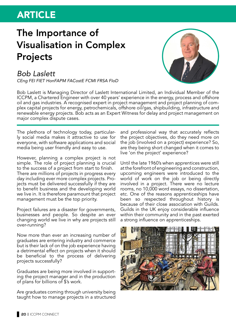#### <span id="page-1-0"></span>ARTICLE

### The Importance of Visualisation in Complex Projects

#### *Bob Laslett*

*CEng FEI FIET HonFAPM FACostE FCMI FRSA FIoD*

Bob Laslett is Managing Director of Laslett International Limited, an Individual Member of the ICCPM, a Chartered Engineer with over 40 years' experience in the energy, process and offshore oil and gas industries. A recognised expert in project management and project planning of complex capital projects for energy, petrochemicals, offshore oil/gas, shipbuilding, infrastructure and renewable energy projects. Bob acts as an Expert Witness for delay and project management on major complex dispute cases.

The plethora of technology today, particularly social media makes it attractive to use for everyone, with software applications and social media being user friendly and easy to use.

However, planning a complex project is not simple. The role of project planning is crucial to the success of a project from start to finish. There are millions of projects in progress every day including ever more complex projects. Projects must be delivered successfully if they are to benefit business and the developing world we live in. It is therefore paramount that project management must be the top priority.

Project failures are a disaster for governments, businesses and people. So despite an ever changing world we live in why are projects still over-running?

Now more than ever an increasing number of graduates are entering industry and commerce but is their lack of on the job experience having a detrimental effect on projects when it should be beneficial to the process of delivering projects successfully?

Graduates are being more involved in supporting the project manager and in the production of plans for billions of \$'s work.

Are graduates coming through university being taught how to manage projects in a structured and professional way that accurately reflects the project objectives, do they need more on the job (involved on a project) experience? So, are they being short changed when it comes to live 'on the project' experience?

Until the late 1960's when apprentices were still at the forefront of engineering and construction, upcoming engineers were introduced to the world of work on the job or being directly involved in a project. There were no lecture rooms, no 10,000 word essays, no dissertation, etc. One of the reasons apprenticeships have been so respected throughout history is because of their close association with Guilds. Guilds in the UK enjoy considerable influence within their community and in the past exerted a strong influence on apprenticeships.